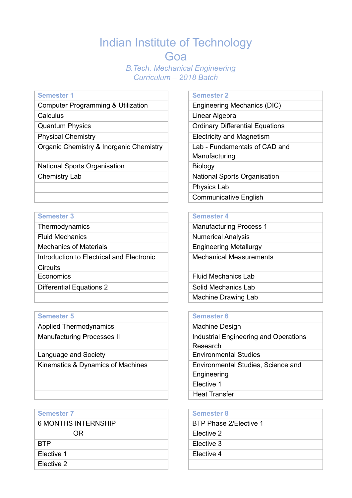# Indian Institute of Technology Goa *B.Tech. Mechanical Engineering Curriculum – 2018 Batch*

Computer Programming & Utilization

Calculus

Quantum Physics

Physical Chemistry

Organic Chemistry & Inorganic Chemistry

National Sports Organisation

Chemistry Lab

### **Semester 3 Semester 4 Semester 4**

Introduction to Electrical and Electronic

**Circuits** 

### **Semester 5 Semester 6**

Applied Thermodynamics

Manufacturing Processes II

Language and Society Kinematics & Dynamics of Machines

### **Semester 7 Semester 8**

Elective 2

### **Semester 1 Semester 2**

| Engineering Mechanics (DIC)            |
|----------------------------------------|
| Linear Algebra                         |
| <b>Ordinary Differential Equations</b> |
| Electricity and Magnetism              |
| Lab - Fundamentals of CAD and          |
| Manufacturing                          |
| <b>Biology</b>                         |
| <b>National Sports Organisation</b>    |
| <b>Physics Lab</b>                     |
| <b>Communicative English</b>           |

Thermodynamics Manufacturing Process 1 Fluid Mechanics **Numerical Analysis** Mechanics of Materials **Engineering Metallurgy** Mechanical Measurements

Economics **Fluid Mechanics** Lab Differential Equations 2 Solid Mechanics Lab Machine Drawing Lab

| Machine Design                        |
|---------------------------------------|
| Industrial Engineering and Operations |
| Research                              |
| <b>Environmental Studies</b>          |
| Environmental Studies, Science and    |
| Engineering                           |
| Elective 1                            |
| <b>Heat Transfer</b>                  |

| Semester 7          | <b>Semester 8</b>      |
|---------------------|------------------------|
| 6 MONTHS INTERNSHIP | BTP Phase 2/Elective 1 |
| ΟR                  | Elective 2             |
| BTP                 | Elective 3             |
| Elective 1          | Elective 4             |
| _______             |                        |